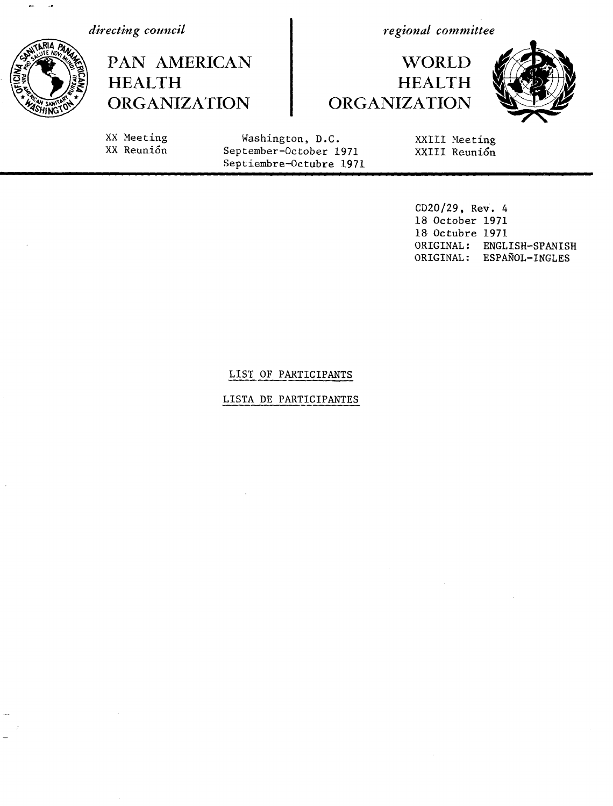*directing council*

HEALTH

PAN AMERICAN

ORGANIZATION

*regional committee*

XXIII Meeting XXIII Reuni6n

# **WORLD** HEALTH ORGANIZATION



XX Meeting XX Reuni6n

Washington, D.C. September-October 1971 Septiembre-Octubre 1971

> CD20/29, Rev. 4 18 October 1971 18 Octubre 1971 ORIGINAL: ENGLISH-SPANISH ORIGINAL: ESPAÑOL-INGLES

### LIST OF PARTICIPANTS

### LISTA DE PARTICIPANTES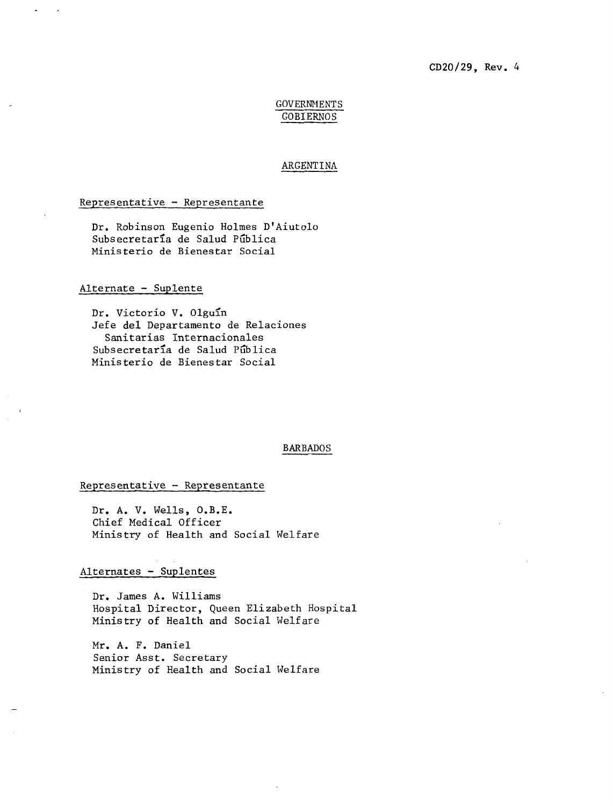### CD20/29, Rev. 4

### **GOVERNMENTS** GOBIERNOS

#### ARGENTINA

#### Representative - Representante

Dr. Robinson Eugenio Holmes D'Aiutolo Subsecretaría de Salud Pública Ministerio de Bienestar Social

### Alternate - Suplente

Dr. Victorio V. Olguín Jefe del Departamento de Relaciones Sanitarias Internacionales Subsecretaría de Salud Pública Ministerio de Bienestar Social

#### BARBADOS

### Representative - Representante

Dr. A. V. Wells, O.B.E. Chief Medical Officer Ministry of Health and Social Welfare

### Alternates - Suplentes

Dr. James A. Williams Hospital Director, Queen Elizabeth Hospital Ministry of Health and Social Welfare

Mr. A. F. Daniel Senior Asst. Secretary Ministry of Health and Social Welfare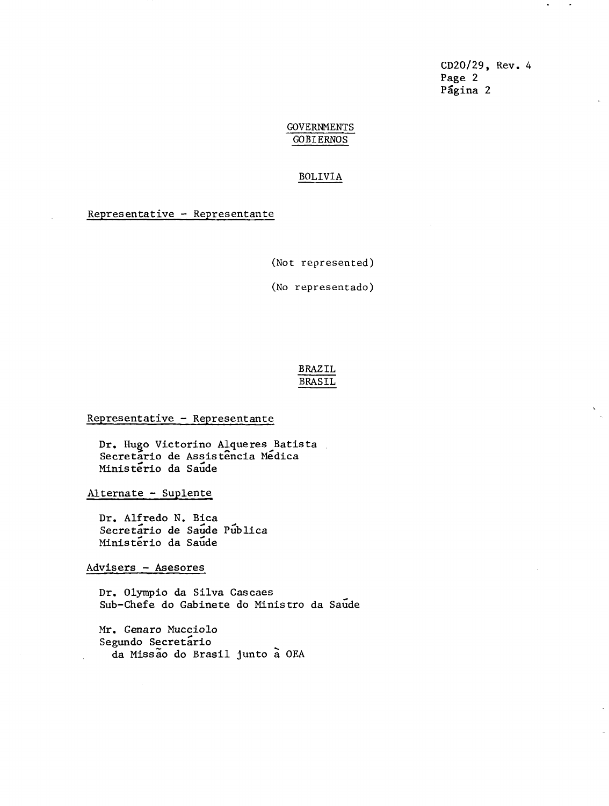CD20/29, Rev. 4 Page 2 Pagina 2

 $\bullet$ 

### GOVERNMENTS GOBIERNOS

#### BOLIVIA

### Representative - Representante

(Not represented)

(No representado)

### BRAZIL BRASIL

### Representative - Representante

Dr. Hugo Victorino Alqueres Batista Secretario de Assistência Médica Ministerio da Saude

Alternate - Suplente

Dr. Alfredo N. Bica Secretario de Saude Publica Ministerio da Saude

Advisers - Asesores

Dr. Olympio da Silva Cascaes Sub-Chefe do Gabinete do Ministro da Saude

Mr. Genaro Mucciolo Segundo Secretario da Missao do Brasil junto a OEA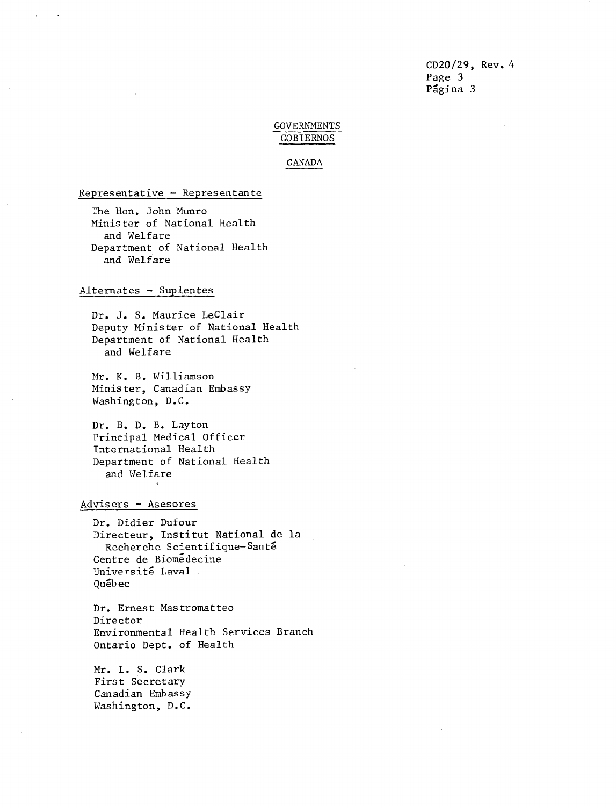CD20/29, Rev. 4 Page 3 Página 3

### GOVERNMENTS GOBIERNOS

CANADA

Representative - Representante

The Hon. John Munro Minister of National Health and Welfare Department of National Health and Welfare

### Alternates - Suplentes

Dr. J. S. Maurice LeClair Deputy Minister of National Health Department of National Health and Welfare

Mr. K. B. Williamson Minister, Canadian Embassy Washington, D.C.

Dr. B. D. B. Layton Principal Medical Officer International Health Department of National Health and Welfare

#### Advisers - Asesores

Dr. Didier Dufour Directeur, Institut National de la Recherche Scientifique-Sante Centre de Biomedecine Université Laval Québec

Dr. Ernest Mastromatteo Director Environmental Health Services Branch Ontario Dept. of Health

Mr. L. S. Clark First Secretary Canadian Embassy Washington, D.C.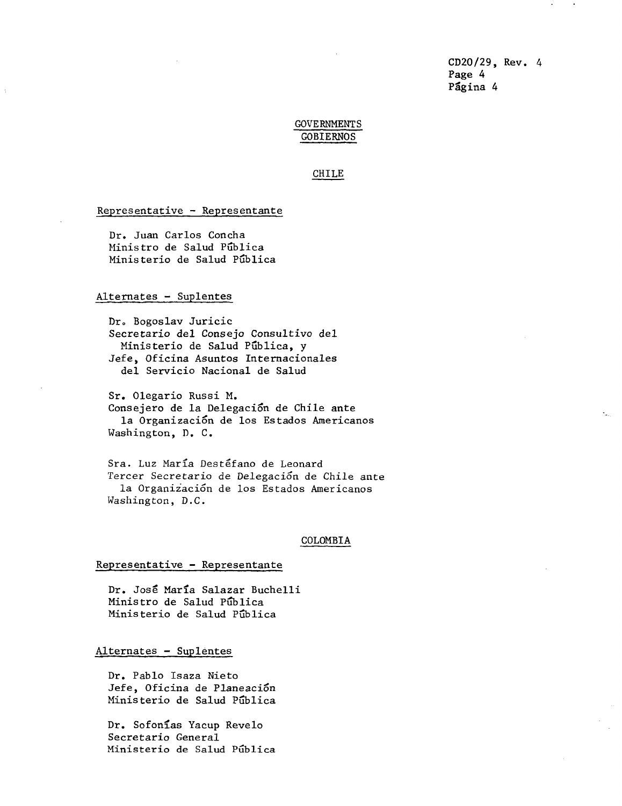CD20/29, Rev. 4 Page 4 Página 4

### GOVERNMENTS GOBIERNOS

#### CHILE

#### Representative - Representante

Dr. Juan Carlos Concha Ministro de Salud Pública Ministerio de Salud Pública

### Alternates - Suplentes

Dr. Bogoslav Juricic Secretario del Consejo Consultivo del Ministerio de Salud Pública, y Jefe, Oficina Asuntos Internacionales del Servicio Nacional de Salud

Sr. Olegario Russi M. Consejero de la Delegación de Chile ante la Organizaci6n de los Estados Americanos Washington, D. C.

Sra. Luz Maria Destefano de Leonard Tercer Secretario de Delegación de Chile ante la Organizaci6n de los Estados Americanos Washington, D.C.

#### COLOMBIA

#### Representative - Representante

Dr. Jose Marla Salazar Buchelli Ministro de Salud Pública Ministerio de Salud Pública

### Alternates - Suplentes

Dr. Pablo Isaza Nieto Jefe, Oficina de Planeación Ministerio de Salud Pública

Dr. Sofonias Yacup Revelo Secretario General Ministerio de Salud Pública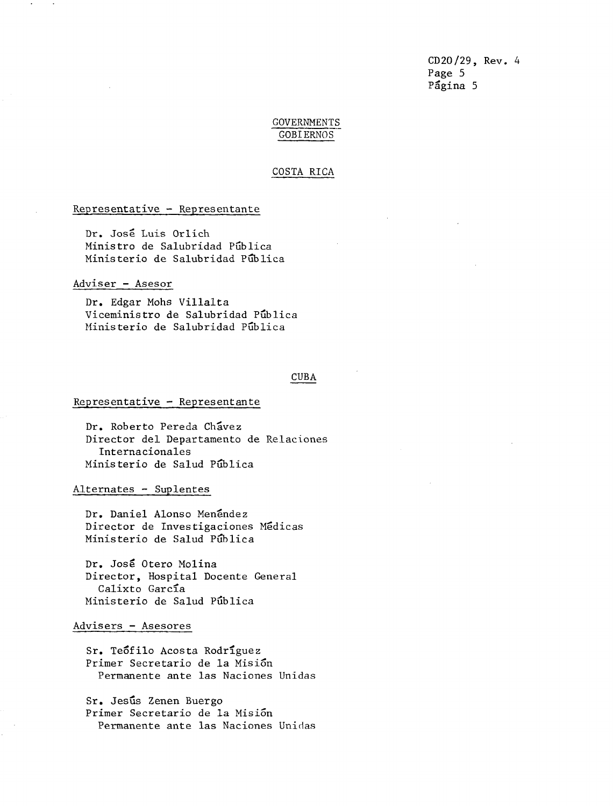CD20/29, Rev. 4 Page 5 Página 5

### GOVERNMENTS GOBIERNOS

#### COSTA RICA

#### Representative - Representante

Dr. Jose Luis Orlich Ministro de Salubridad Pública Ministerio de Salubridad Pública

#### Adviser - Asesor

Dr. Edgar Mohs Villalta Viceministro de Salubridad Pública Ministerio de Salubridad Publica

#### CUBA

#### Representative - Representante

Dr. Roberto Pereda Ch'avez Director del Departamento de Relaciones Internacionales Ministerio de Salud Piblica

Alternates - Suplentes

Dr. Daniel Alonso Menéndez Director de Investigaciones Medicas Ministerio de Salud Pública

Dr. Jose Otero Molina Director, Hospital Docente General Calixto García Ministerio de Salud Piblica

#### Advisers - Asesores

Sr. Teófilo Acosta Rodríguez Primer Secretario de la Mision Permanente ante las Naciones Unidas

Sr. Jesús Zenen Buergo Primer Secretario de la Misi6n Permanente ante las Naciones Unidas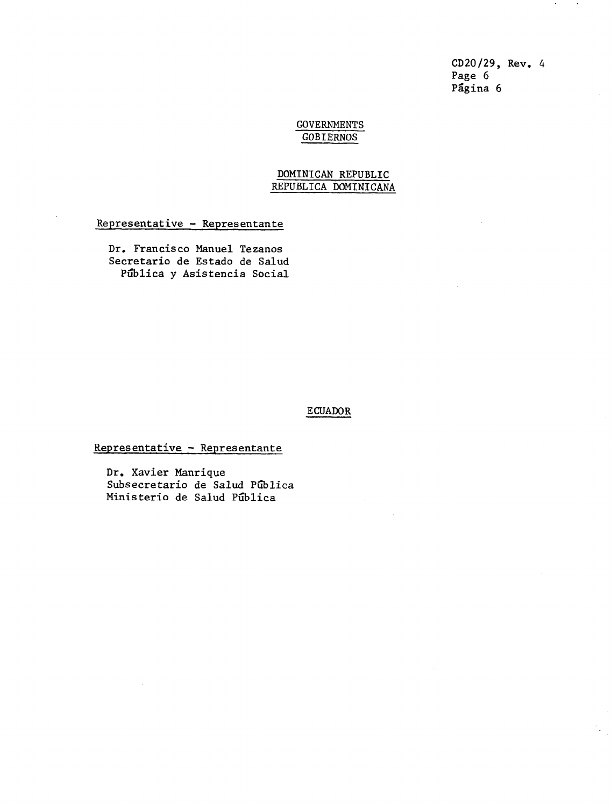CD20/29, Rev. 4 Page 6 Pagina 6

### GOVERNMENTS GOBIERNOS

### DOMINICAN REPUBLIC REPUBLICA DOMINICANA

Representative - Representante

Dr. Francisco Manuel Tezanos Secretario de Estado de Salud Pública y Asistencia Social

### ECUADOR

# Representative - Representante

Dr. Xavier Manrique Subsecretario de Salud Pública Ministerio de Salud Pública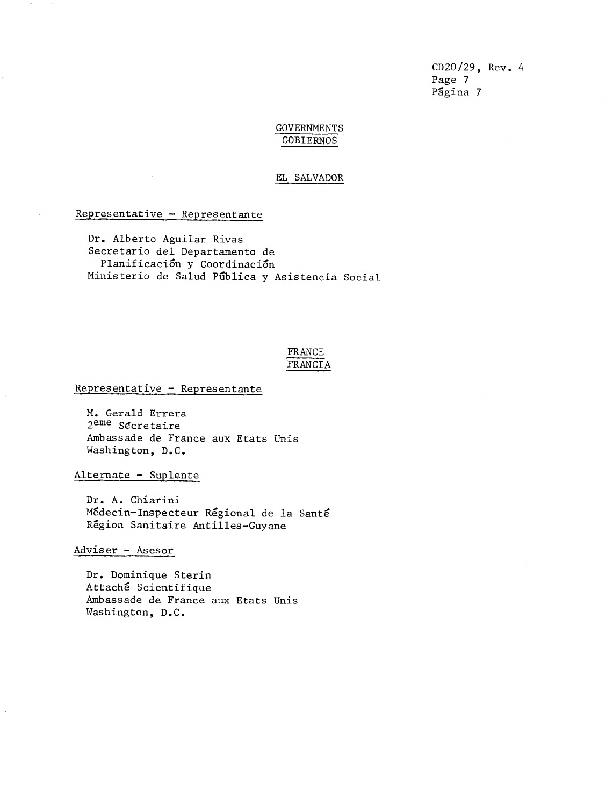CD20/29, Rev. 4 Page 7 Página 7

### GOVERNMENTS GOBIERNOS

#### EL SALVADOR

Representative - Representante

Dr. Alberto Aguilar Rivas Secretario del Departamento de Planificación y Coordinación Ministerio de Salud Pública y Asistencia Social

### FRANCE FRANCIA

### Representative - Representante

M. Gerald Errera 2eme Secretaire Ambassade de France aux Etats Unis Washington, D.C.

Alternate - Suplente

Dr. A. Chiarini Medecin-Inspecteur Regional de la Sante Region Sanitaire Antilles-Guyane

Adviser - Asesor

Dr. Dominique Sterin Attache Scientifique Ambassade de France aux Etats Unis Washington, D.C.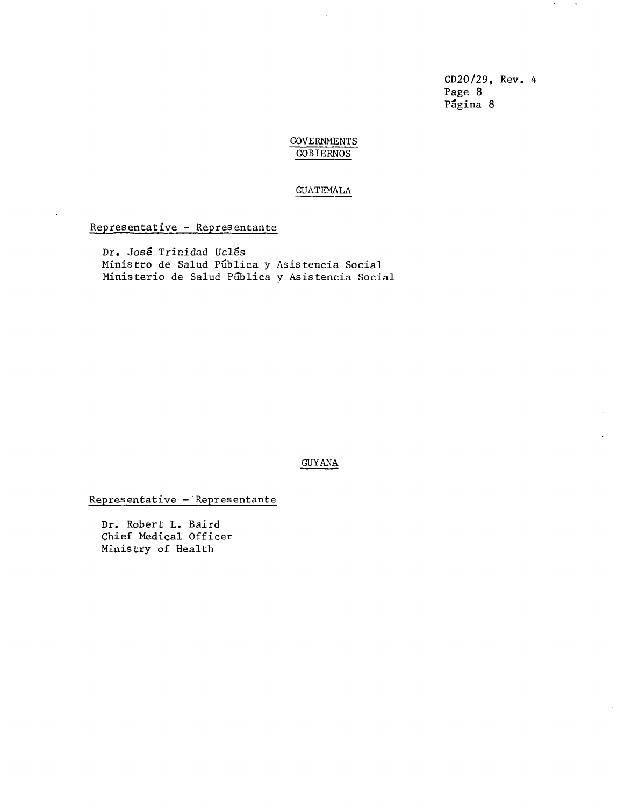CD20/29, Rev. 4 Page 8 Pagina 8

 $\lambda$ 

 $\sim$ 

### GOVERNMENTS GOBIERNOS

#### GUATEMALA

### Representative - Representante

Dr. José Trinidad Uclés Ministro de Salud Publica y Asistencia Social Ministerio de Salud Pública y Asistencia Social

#### GUYANA

Representative - Representante

Dr. Robert L. Baird Chief Medical Officer Ministry of Health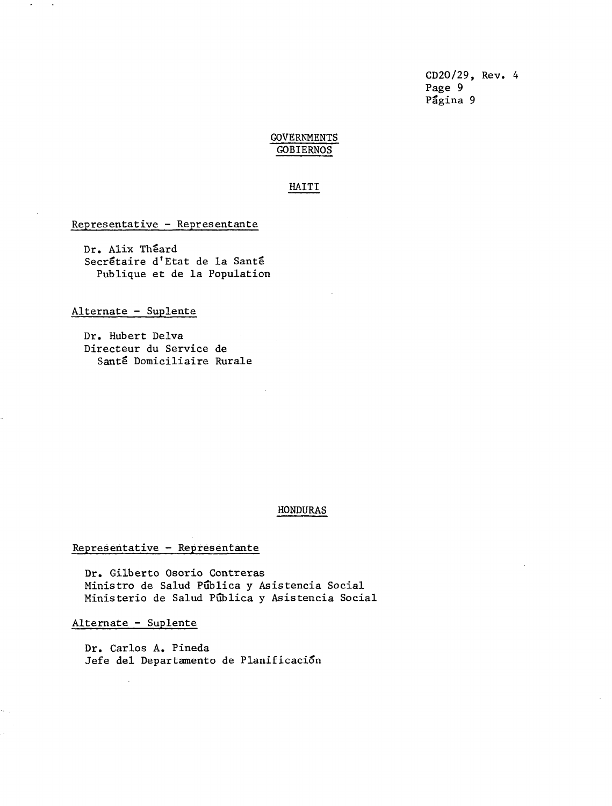CD20/29, Rev. 4 Page 9 Pagina 9

# **GOVERNMENTS** GOBIERNOS

### HAITI

### Representative - Representante

Dr. Alix Théard Secrétaire d'Etat de la Santé Publique et de la Population

### Alternate - Suplente

Dr. Hubert Delva Directeur du Service de Sante Domiciliaire Rurale

#### HONDURAS

### Representative - Representante

Dr. Gilberto Osorio Contreras Ministro de Salud Publica y Asistencia Social Ministerio de Salud Pública y Asistencia Social

Alternate - Suplente

Dr. Carlos A. Pineda Jefe del Departamento de Planificaci6n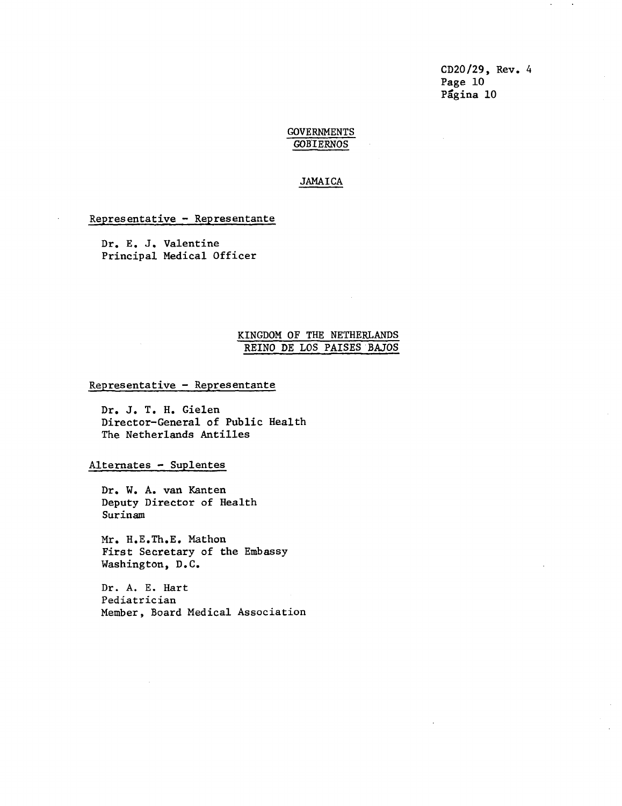CD20/29, Rev. 4 Page 10 Pagina 10

 $\sim$ 

#### GOVERNMENTS GOBIERNOS

### JAMAICA

### Representative - Representante

Dr. E. J. Valentine Principal Medical Officer

### KINGDOM OF THE NETHERLANDS REINO DE LOS PAISES BAJOS

Representative - Representante

Dr. J. T. H. Gielen Director-General of Public Health The Netherlands Antilles

Alternates - Suplentes

Dr. W. A. van Kanten Deputy Director of Health Surinam

Mr. H.E.Th.E. Mathon First Secretary of the Embassy Washington, D.C.

Dr. A. E. Hart Pediatrician Member, Board Medical Association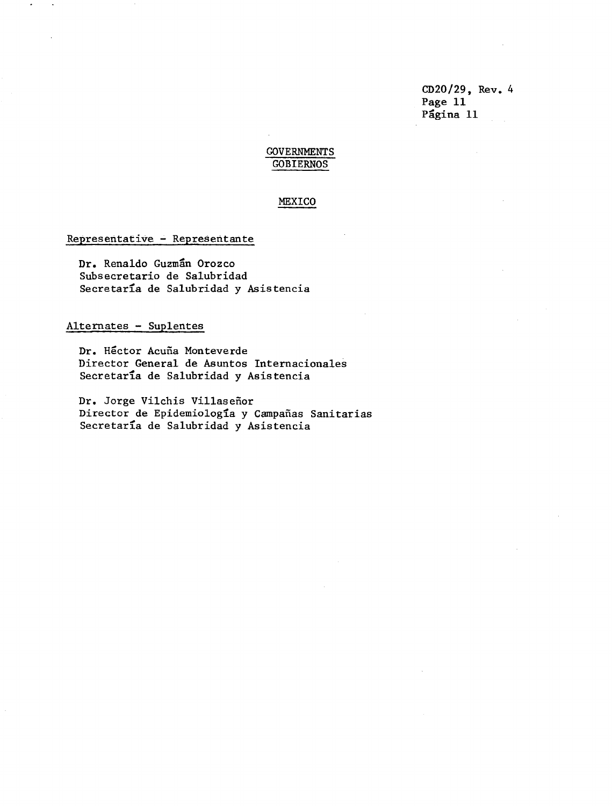CD20/29, Rev. 4 Page 11 Página 11

# **GOVERNMENTS** GOBIERNOS

### MEXICO

### Representative - Representante

Dr. Renaldo Guzman Orozco Subsecretario de Salubridad Secretaría de Salubridad y Asistencia

### Alternates - Suplentes

Dr. Hector Acufa Monteverde Director General de Asuntos Internacionales Secretar'a de Salubridad y Asistencia

Dr. Jorge Vilchis Villasefior Director de Epidemiología y Campañas Sanitarias Secretaria de Salubridad y Asistencia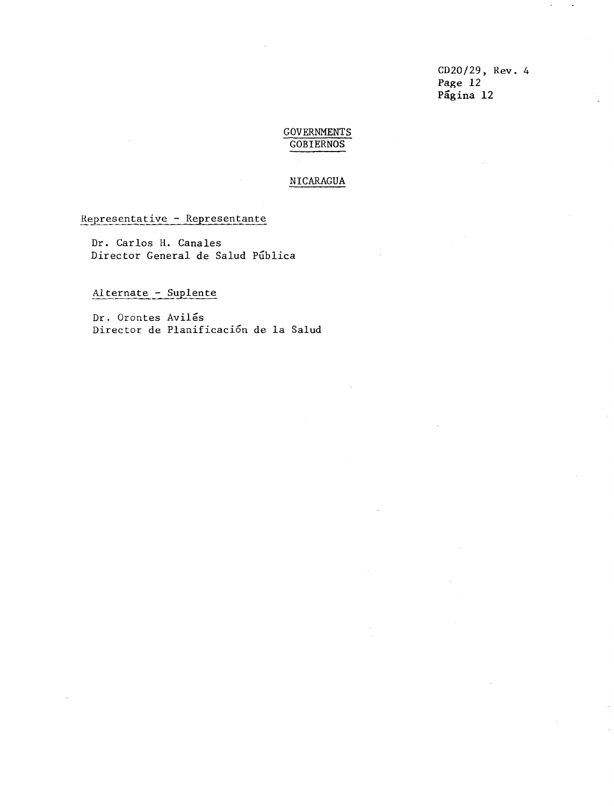CD20/29, Rev. 4 Page 12 Pagina 12

### **GOVERNMENTS** GOBIERNOS

### NICARAGUA

### Representative - Representante

Dr. Carlos H. Canales Director General de Salud Pública

# Alternate - Suplente

Dr. Orontes Aviles Director de Planificaci6n de la Salud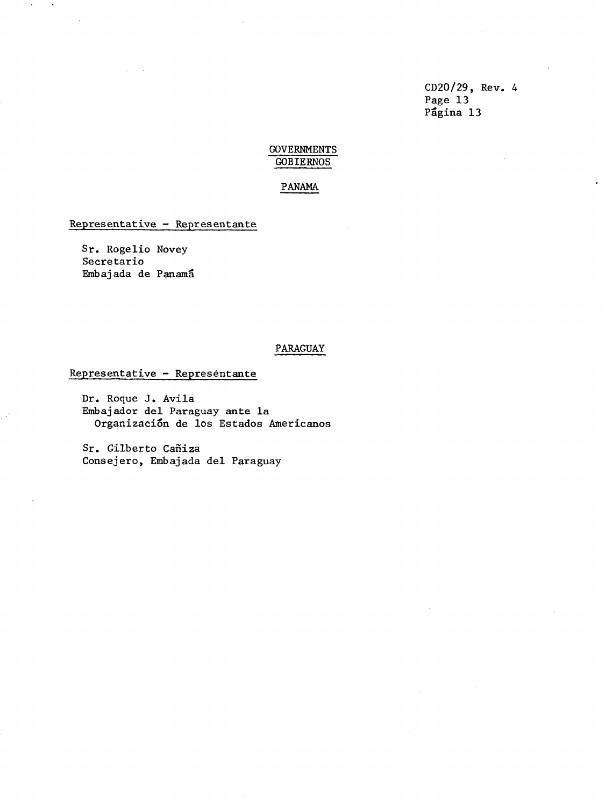CD20/29, Rev. 4 Page 13 Página 13

### GOVERNMENTS GOBIERNOS

### PANAMA

### Representative - Representante

Sr. Rogelio Novey Secretario Embajada de Panama

### PARAGUAY

### Representative - Representante

Dr. Roque J. Avila Embajador del Paraguay ante la Organización de los Estados Americanos

Sr. Gilberto Cañiza Consejero, Embajada del Paraguay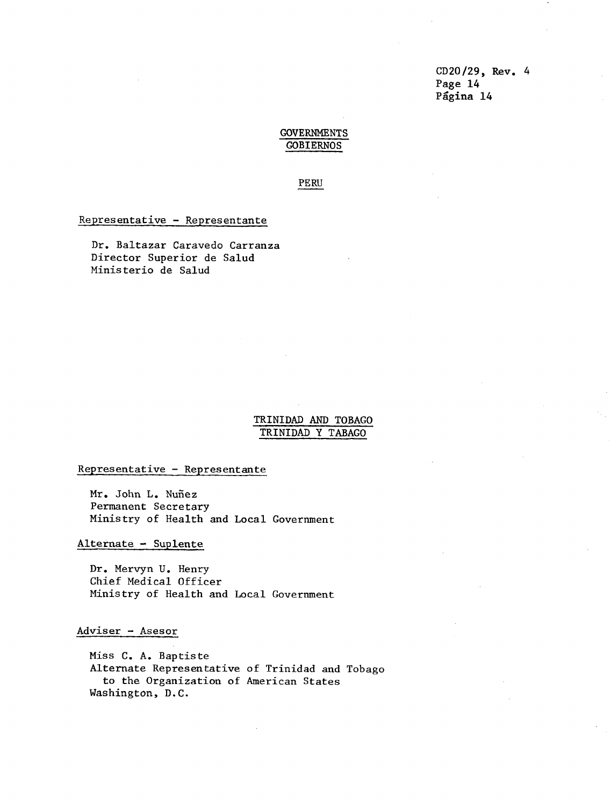CD20/29, Rev. 4 Page 14 Página 14

### GOVERNMENTS GOBIERNOS

PERU

Representative - Representante

Dr. Baltazar Caravedo Carranza Director Superior de Salud Ministerio de Salud

### TRINIDAD AND TOBAGO TRINIDAD Y TABAGO

Representative - Representante

Mr. John L. Nuñez Permanent Secretary Ministry of Health and Local Government

Alternate - Suplente

Dr. Mervyn U. Henry Chief Medical Officer Ministry of Health and Local Government

### Adviser - Asesor

Miss C. A. Baptiste Alternate Representative of Trinidad and Tobago to the Organization of American States Washington, D.C.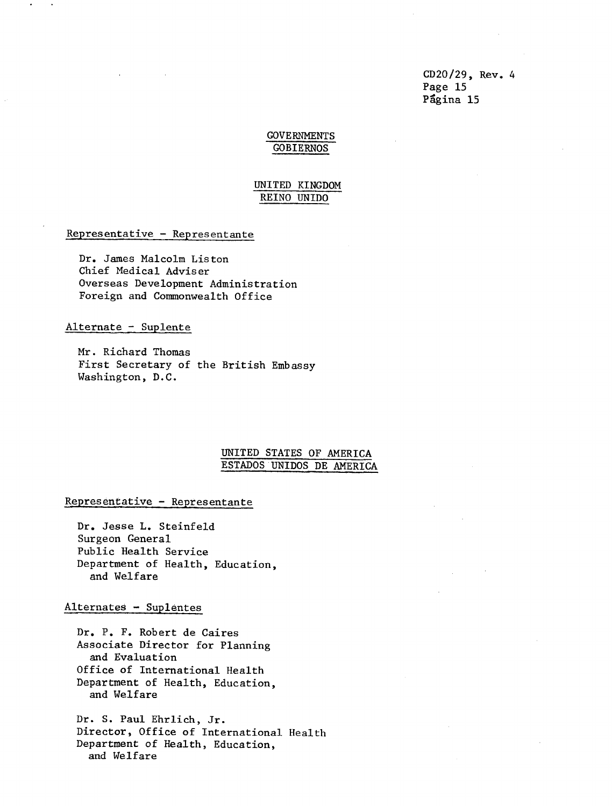CD20/29, Rev. 4 Page 15 Pagina 15

### GOVERNMENTS GOBIERNOS

### UNITED KINGDOM REINO UNIDO

### Representative - Representante

Dr. James Malcolm Liston Chief Medical Adviser Overseas Development Administration Foreign and Commonwealth Office

#### Alternate - Suplente

Mr. Richard Thomas First Secretary of the British Embassy Washington, D.C.

### UNITED STATES OF AMERICA ESTADOS UNIDOS DE AMERICA

### Representative - Representante

Dr. Jesse L. Steinfeld Surgeon General Public Health Service Department of Health, Education, and Welfare

#### Alternates - Suplentes

Dr. P. F. Robert de Caires Associate Director for Planning and Evaluation Office of International Health Department of Health, Education, and Welfare

Dr. S. Paul Ehrlich, Jr. Director, Office of International Health Department of Health, Education, and Welfare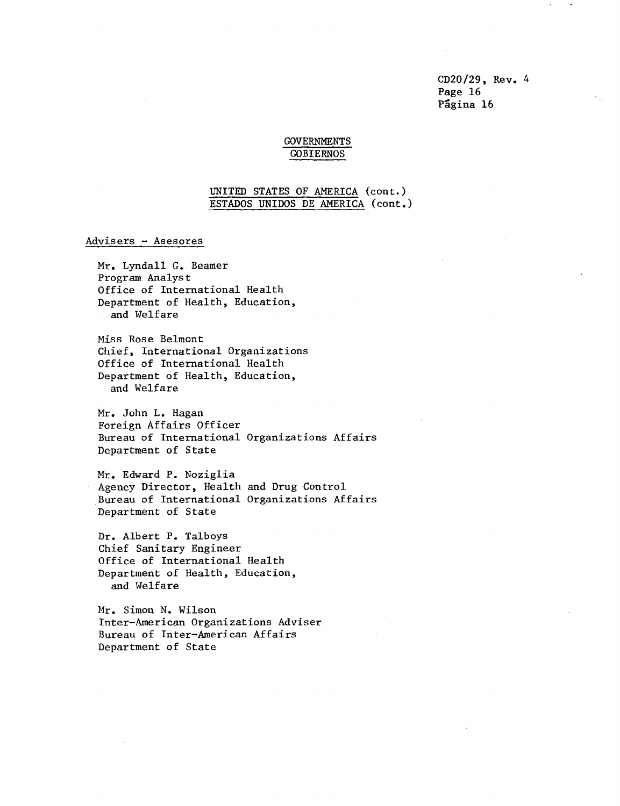CD20/29, Rev. 4 Page 16 Página 16

### GOVERNMENTS GOBIERNOS

### UNITED STATES OF AMERICA (cont.) ESTADOS UNIDOS DE AMERICA (cont.)

#### Advisers - Asesores

Mr. Lyndall G. Beamer Program Analyst Office of International Health Department of Health, Education, and Welfare

Miss Rose Belmont Chief, International Organizations Office of International Health Department of Health, Education, and Welfare

Mr. John L. Hagan Foreign Affairs Officer Bureau of International Organizations Affairs Department of State

Mr. Edward P. Noziglia Agency Director, Health and Drug Control Bureau of International Organizations Affairs Department of State

Dr. Albert P. Talboys Chief Sanitary Engineer Office of International Health Department of Health, Education, and Welfare

Mr. Simon N. Wilson Inter-American Organizations Adviser Bureau of Inter-American Affairs Department of State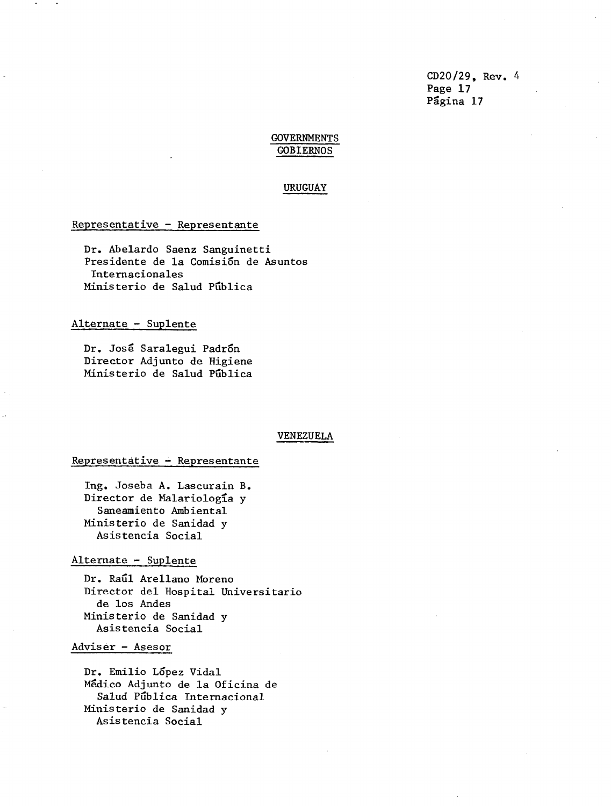CD20/29, Rev. 4 Page 17 Página 17

### GOVERNMENTS GOBIERNOS

#### URUGUAY

### Representative - Representante

Dr. Abelardo Saenz Sanguinetti Presidente de la Comisión de Asuntos Internacionales Ministerio de Salud Pública

### Alternate - Suplente

Dr. José Saralegui Padrón Director Adjunto de Higiene Ministerio de Salud PGblica

#### VENEZUELA

#### Representative - Representante

Ing. Joseba A. Lascurain B. Director de Malariología y Saneamiento Ambiental Ministerio de Sanidad y Asistencia Social

#### Alternate - Suplente

Dr. Rail Arellano Moreno Director del Hospital Universitario de los Andes Ministerio de Sanidad y Asistencia Social

# Adviser - Asesor

Dr. Emilio Lopez Vidal Medico Adjunto de la Oficina de Salud Publica Internacional Ministerio de Sanidad y Asistencia Social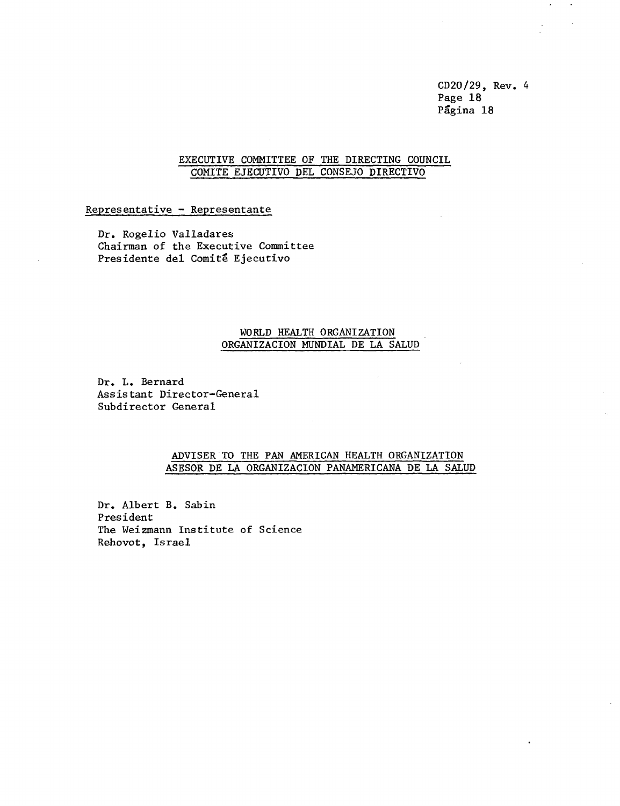CD20/29, Rev. 4 Page 18 Página 18

 $\bullet$  $\bullet$ 

### EXECUTIVE COMMITTEE OF THE DIRECTING COUNCIL COMITE EJECUTIVO DEL CONSEJO DIRECTIVO

### Representative - Representante

Dr. Rogelio Valladares Chairman of the Executive Committee Presidente del Comité Ejecutivo

### WORLD HEALTH ORGANIZATION ORGANIZACION MUNDIAL DE LA SALUD

 $\sim$ 

Dr. L. Bernard Assistant Director-General Subdirector General

### ADVISER TO THE PAN AMERICAN HEALTH ORGANIZATION ASESOR DE LA ORGANIZACION PANAMERICANA DE LA SALUD

Dr. Albert B. Sabin President The Weizmann Institute of Science Rehovot, Israel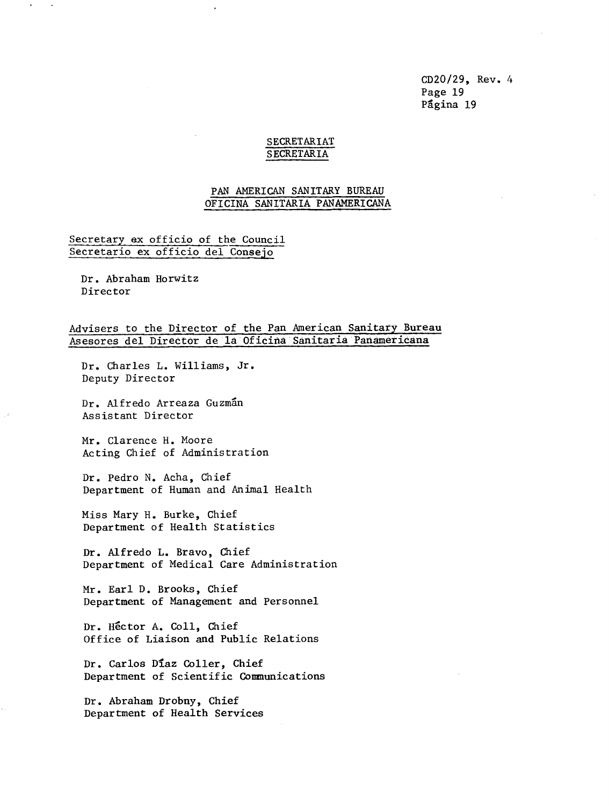CD20/29, Rev. 4 Page 19 Página 19

### SECRETARIAT SECRETARIA

### PAN AMERICAN SANITARY BUREAU OFICINA SANITARIA PANAMERICANA

### Secretary ex officio of the Council Secretario ex officio del Consejo

Dr. Abraham Horwitz Director

### Advisers to the Director of the Pan American Sanitary Bureau Asesores del Director de la Oficina Sanitaria Panamericana

Dr. Charles L. Williams, Jr. Deputy Director

Dr. Alfredo Arreaza Guzmán Assistant Director

Mr. Clarence H. Moore Acting Chief of Administration

Dr. Pedro N. Acha, Chief Department of Human and Animal Health

Miss Mary H. Burke, Chief Department of Health Statistics

Dr. Alfredo L. Bravo, Chief Department of Medical Care Administration

Mr. Earl D. Brooks, Chief Department of Management and Personnel

Dr. Hector A. Coll, Chief Office of Liaison and Public Relations

Dr. Carlos Diaz Coller, Chief Department of Scientific Communications

Dr. Abraham Drobny, Chief Department of Health Services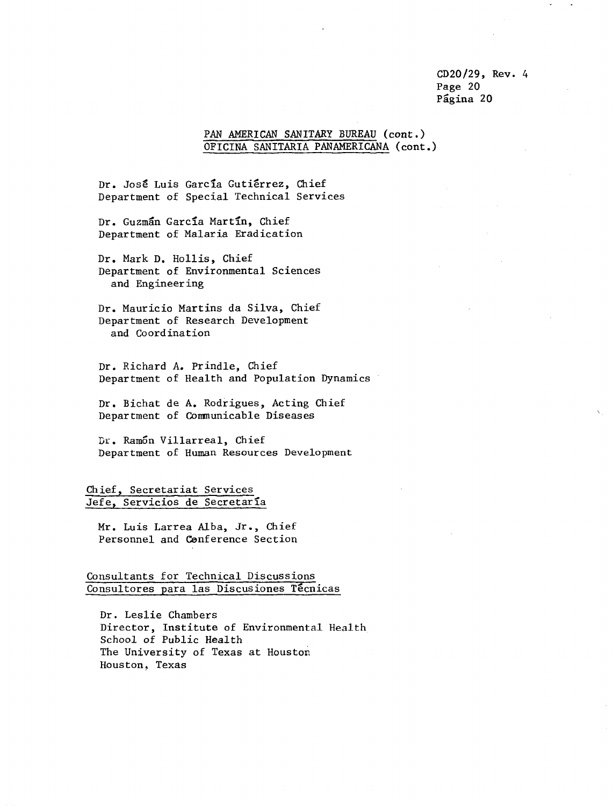CD20/29, Rev. 4 Page 20 Página 20

### PAN AMERICAN SANITARY BUREAU (cont.) OFICINA SANITARIA PANAMERICANA (cont.)

Dr. José Luis García Gutiérrez, Chief Department of Special Technical Services

Dr. Guzman Garcia Martin, Chief Department of Malaria Eradication

Dr. Mark D. Hollis, Chief Department of Environmental Sciences and Engineering

Dr. Mauricio Martins da Silva, Chief Department of Research Development and Coordination

Dr. Richard A. Prindle, Chief Department of Health and Population Dynamics

Dr. Bichat de A. Rodrigues, Acting Chief Department of Communicable Diseases

Dr. Ramon Villarreal, Chief Department of Human Resources Development

Chief, Secretariat Services Jefe, Servicios de Secretaría

Mr. Luis Larrea Alba, Jr., Chief Personnel and Cenference Section

Consultants for Technical Discussions Consultores para las Discusiones Técnicas

Dr. Leslie Chambers Director, Institute of Environmental Health School of Public Health The University of Texas at Houston Houston. Texas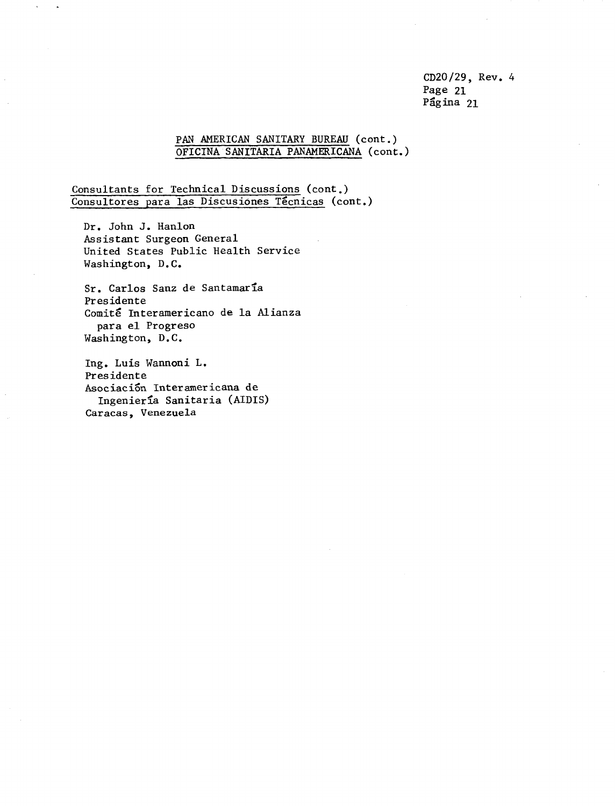CD20/29, Rev. 4 Page 21 Página 21

### PAN AMERICAN SANITARY BUREAU (cont.) OFICINA SANITARIA PANAMERICANA (cont.)

Consultants for Technical Discussions (cont.) Consultores para las Discusiones Tecnicas (cont.)

Dr. John J. Hanlon Assistant Surgeon General United States Public Health Service Washington, D.C.

Sr. Carlos Sanz de Santamaria Presidente Comité Interamericano de la Alianza para el Progreso Washington, D.C.

Ing. Luis Wannoni L. Presidente Asociacion Interamericana de Ingenierla Sanitaria (AIDIS) Caracas, Venezuela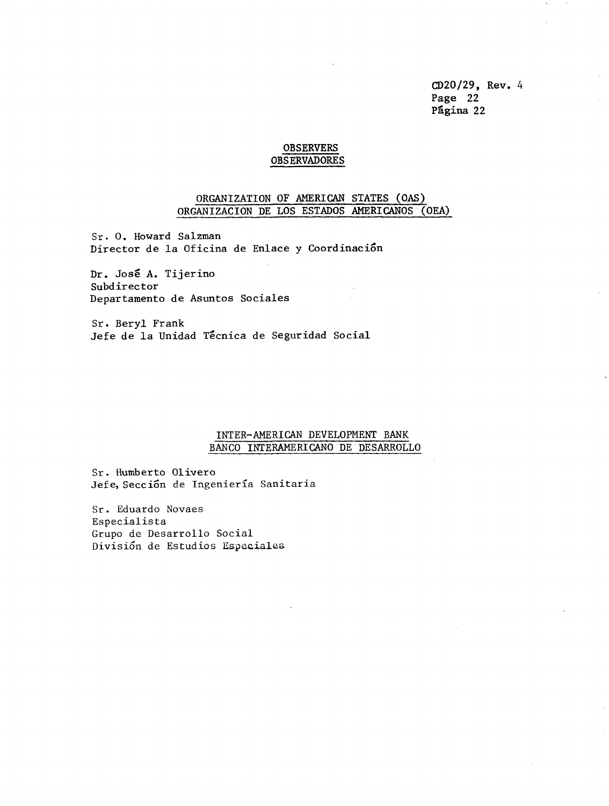CD20/29, Rev. 4 Page 22 Pagina 22

#### OBSERVERS OBSERVADORES

### ORGANIZATION OF AMERICAN STATES (OAS) ORGANIZACION DE LOS ESTADOS AMERICANOS (OEA)

Sr. O. Howard Salzman Director de la Oficina de Enlace y Coordinaci6n

Dr. Jose A. Tijerino Subdirector Departamento de Asuntos Sociales

Sr. Beryl Frank Jefe de la Unidad Técnica de Seguridad Social

### INTER-AMERICAN DEVELOPMENT BANK BANCO INTERAMERICANO DE DESARROLLO

Sr. Humberto Olivero Jefe, Sección de Ingeniería Sanitaria

Sr. Eduardo Novaes Especialista Grupo de Desarrollo Social Divisi6n de Estudios Especiales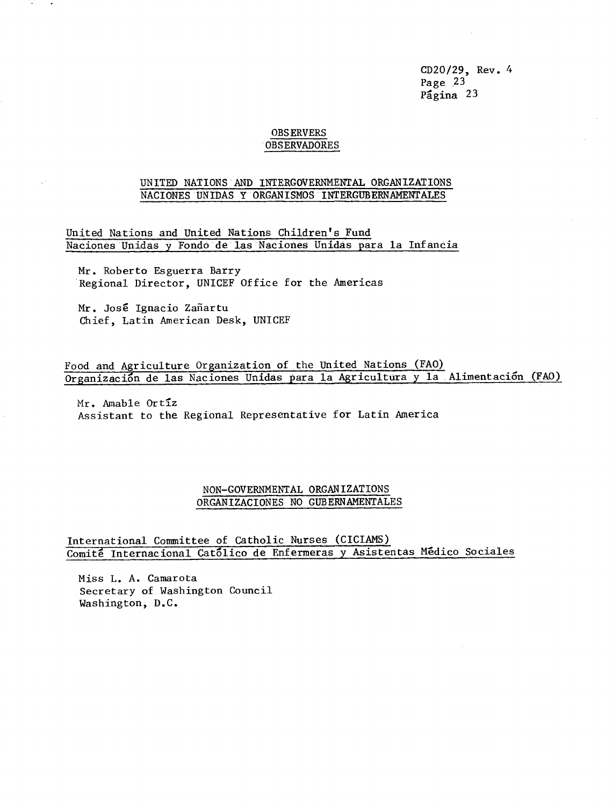CD20/29, Rev. 4 Page 23 Pagina 23

### OBSERVERS OBSERVADORES

### UNITED NATIONS AND INTERGOVERNMENTAL ORGANIZATIONS NACIONES UNIDAS Y ORGANISMOS INTERGUBERNAMENTALES

United Nations and United Nations Children's Fund Naciones Unidas y Fondo de las Naciones Unidas para la Infancia

Mr. Roberto Esguerra Barry Regional Director, UNICEF Office for the Americas

Mr. José Ignacio Zañartu Chief, Latin American Desk, UNICEF

Food and Agriculture Organization of the United Nations (FAO) Organizacion de las Naciones Unidas para la Agricultura y la Alimentacion (FAO)

Mr. Amable Ortiz Assistant to the Regional Representative for Latin America

### NON-GOVERNMENTAL ORGANIZATIONS ORGANIZACIONES NO GUBERNAMENTALES

International Committee of Catholic Nurses (CICIAMS) Comite Internacional Cat6lico de Enfermeras y Asistentas Medico Sociales

Miss L. A. Camarota Secretary of Washington Council Washington, D.C.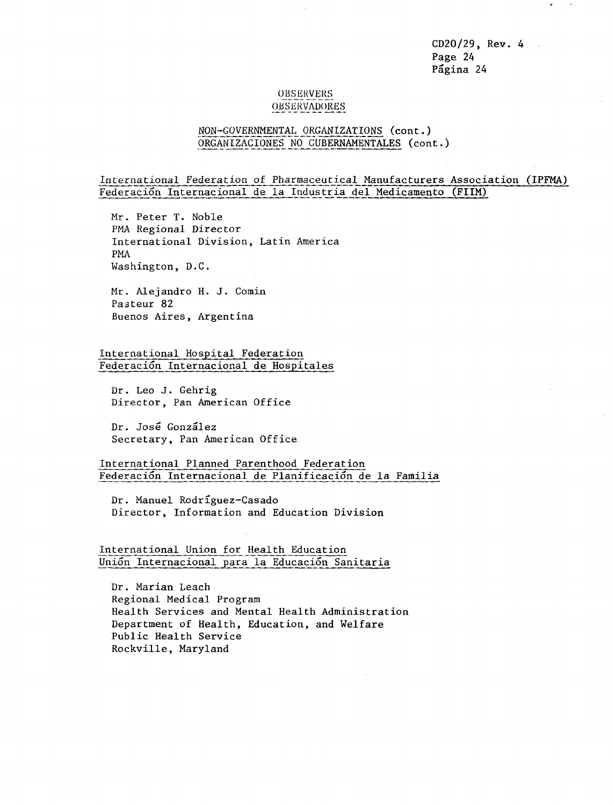CD20/29, Rev. 4 Page 24 Página 24

### OBSERVERS **OBSERVADORES**

### NON-GOVERNMENTAL ORGANIZATIONS (cont.) ORGANIZACIONES NO GUBERNAMENTALES (cont.)

International Federation of Pharmaceutical Manufacturers Association (IPFMA) Federaci6n Internacional de la Industria del Medicamento (FIIM)

Mr. Peter T. Noble PMA Regional Director International Division, Latin America PMA Washington, D.C.

Mr. Alejandro H. J. Comin Pasteur 82 Buenos Aires, Argentina

International Hospital Federation Federaci6n Internacional de Hospitales

Dr. Leo J. Gehrig Director, Pan American Office

Dr. Jose Gonzalez Secretary, Pan American Office

International Planned Parenthood Federation Federación Internacional de Planificación de la Familia

Dr. Manuel Rodrfguez-Casado Director, Information and Education Division

### International Union for Health Education Uni6n Internacional para la Educaci6n Sanitaria

Dr. Marian Leach Regional Medical Program Health Services and Mental Health Administration Department of Health, Education, and Welfare Public Health Service Rockville, Maryland